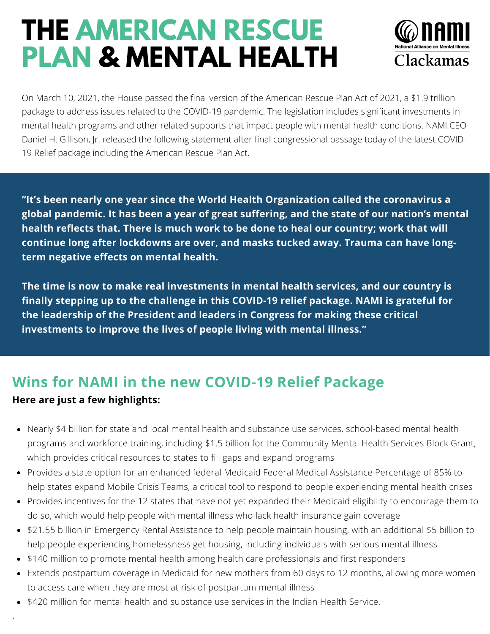# **THE AMERICAN RESCUE PLAN & MENTAL HEALTH**



On March 10, 2021, the House passed the final version of the American Rescue Plan Act of 2021, a \$1.9 trillion package to address issues related to the COVID-19 pandemic. The legislation includes significant investments in mental health programs and other related supports that impact people with mental health conditions. NAMI CEO Daniel H. Gillison, Jr. released the following statement after final congressional passage today of the latest COVID-19 Relief package including the American Rescue Plan Act.

**"It's been nearly one year since the World Health Organization called the coronavirus a global pandemic. It has been a year of great suffering, and the state of our nation's mental health reflects that. There is much work to be done to heal our country; work that will continue long after lockdowns are over, and masks tucked away. Trauma can have longterm negative effects on mental health.**

**The time is now to make real investments in mental health services, and our country is finally stepping up to the challenge in this COVID-19 relief package. NAMI is grateful for the leadership of the President and leaders in Congress for making these critical investments to improve the lives of people living with mental illness."**

### **Wins for NAMI in the new COVID-19 Relief Package Here are just a few highlights:**

- Nearly \$4 billion for state and local mental health and substance use services, school-based mental health programs and workforce training, including \$1.5 billion for the Community Mental Health Services Block Grant, which provides critical resources to states to fill gaps and expand programs
- Provides a state option for an enhanced federal Medicaid Federal Medical Assistance Percentage of 85% to help states expand Mobile Crisis Teams, a critical tool to respond to people experiencing mental health crises
- Provides incentives for the 12 states that have not yet expanded their Medicaid eligibility to encourage them to do so, which would help people with mental illness who lack health insurance gain coverage
- \$21.55 billion in Emergency Rental Assistance to help people maintain housing, with an additional \$5 billion to help people experiencing homelessness get housing, including individuals with serious mental illness
- \$140 million to promote mental health among health care professionals and first responders
- Extends postpartum coverage in Medicaid for new mothers from 60 days to 12 months, allowing more women to access care when they are most at risk of postpartum mental illness
- \$420 million for mental health and substance use services in the Indian Health Service.

.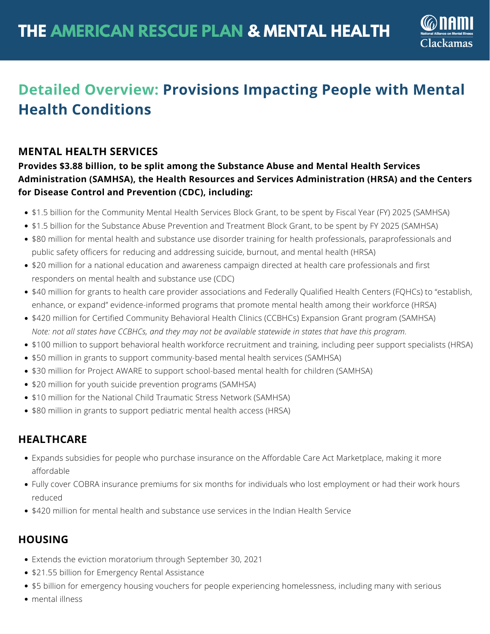

## **Detailed Overview: Provisions Impacting People with Mental Health Conditions**

#### **MENTAL HEALTH SERVICES**

#### **Provides \$3.88 billion, to be split among the Substance Abuse and Mental Health Services Administration (SAMHSA), the Health Resources and Services Administration (HRSA) and the Centers for Disease Control and Prevention (CDC), including:**

- \$1.5 billion for the Community Mental Health Services Block Grant, to be spent by Fiscal Year (FY) 2025 (SAMHSA)
- \$1.5 billion for the Substance Abuse Prevention and Treatment Block Grant, to be spent by FY 2025 (SAMHSA)
- \$80 million for mental health and substance use disorder training for health professionals, paraprofessionals and public safety officers for reducing and addressing suicide, burnout, and mental health (HRSA)
- \$20 million for a national education and awareness campaign directed at health care professionals and first responders on mental health and substance use (CDC)
- \$40 million for grants to health care provider associations and Federally Qualified Health Centers (FQHCs) to "establish, enhance, or expand" evidence-informed programs that promote mental health among their workforce (HRSA)
- \$420 million for Certified Community Behavioral Health Clinics (CCBHCs) Expansion Grant program (SAMHSA) Note: not all states have CCBHCs, and they may not be available statewide in states that have this program.
- \$100 million to support behavioral health workforce recruitment and training, including peer support specialists (HRSA)
- \$50 million in grants to support community-based mental health services (SAMHSA)
- \$30 million for Project AWARE to support school-based mental health for children (SAMHSA)
- \$20 million for youth suicide prevention programs (SAMHSA)
- \$10 million for the National Child Traumatic Stress Network (SAMHSA)
- \$80 million in grants to support pediatric mental health access (HRSA)

#### **HEALTHCARE**

- Expands subsidies for people who purchase insurance on the Affordable Care Act Marketplace, making it more affordable
- Fully cover COBRA insurance premiums for six months for individuals who lost employment or had their work hours reduced
- \$420 million for mental health and substance use services in the Indian Health Service

#### **HOUSING**

- Extends the eviction moratorium through September 30, 2021
- \$21.55 billion for Emergency Rental Assistance
- \$5 billion for emergency housing vouchers for people experiencing homelessness, including many with serious
- mental illness